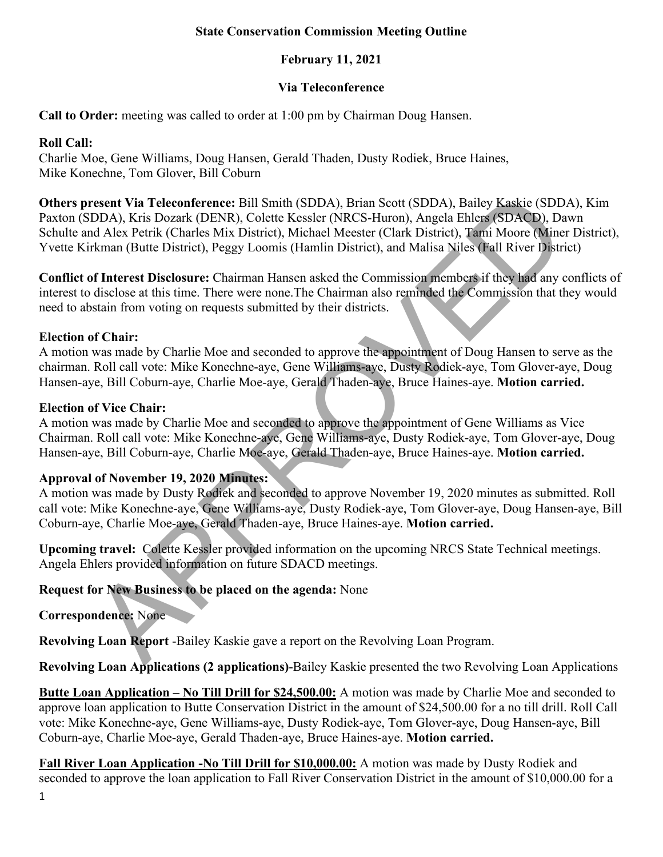### **State Conservation Commission Meeting Outline**

# **February 11, 2021**

## **Via Teleconference**

**Call to Order:** meeting was called to order at 1:00 pm by Chairman Doug Hansen.

### **Roll Call:**

Charlie Moe, Gene Williams, Doug Hansen, Gerald Thaden, Dusty Rodiek, Bruce Haines, Mike Konechne, Tom Glover, Bill Coburn

resent Via Teleconference: Bill Smith (SDDA), Brian Scott (SDDA), Bailey Kaskie (SDDA), K<br>and Alex Petrik (Charks Mix District), Michael Meester (NRCS-Huron), Angela Fallers (SDDA) Dava<br>Md Alex Petrik (Charks Mix District) **Others present Via Teleconference:** Bill Smith (SDDA), Brian Scott (SDDA), Bailey Kaskie (SDDA), Kim Paxton (SDDA), Kris Dozark (DENR), Colette Kessler (NRCS-Huron), Angela Ehlers (SDACD), Dawn Schulte and Alex Petrik (Charles Mix District), Michael Meester (Clark District), Tami Moore (Miner District), Yvette Kirkman (Butte District), Peggy Loomis (Hamlin District), and Malisa Niles (Fall River District)

**Conflict of Interest Disclosure:** Chairman Hansen asked the Commission members if they had any conflicts of interest to disclose at this time. There were none.The Chairman also reminded the Commission that they would need to abstain from voting on requests submitted by their districts.

# **Election of Chair:**

A motion was made by Charlie Moe and seconded to approve the appointment of Doug Hansen to serve as the chairman. Roll call vote: Mike Konechne-aye, Gene Williams-aye, Dusty Rodiek-aye, Tom Glover-aye, Doug Hansen-aye, Bill Coburn-aye, Charlie Moe-aye, Gerald Thaden-aye, Bruce Haines-aye. **Motion carried.** 

# **Election of Vice Chair:**

A motion was made by Charlie Moe and seconded to approve the appointment of Gene Williams as Vice Chairman. Roll call vote: Mike Konechne-aye, Gene Williams-aye, Dusty Rodiek-aye, Tom Glover-aye, Doug Hansen-aye, Bill Coburn-aye, Charlie Moe-aye, Gerald Thaden-aye, Bruce Haines-aye. **Motion carried.** 

# **Approval of November 19, 2020 Minutes:**

A motion was made by Dusty Rodiek and seconded to approve November 19, 2020 minutes as submitted. Roll call vote: Mike Konechne-aye, Gene Williams-aye, Dusty Rodiek-aye, Tom Glover-aye, Doug Hansen-aye, Bill Coburn-aye, Charlie Moe-aye, Gerald Thaden-aye, Bruce Haines-aye. **Motion carried.**

**Upcoming travel:** Colette Kessler provided information on the upcoming NRCS State Technical meetings. Angela Ehlers provided information on future SDACD meetings.

# **Request for New Business to be placed on the agenda:** None

**Correspondence:** None

**Revolving Loan Report** -Bailey Kaskie gave a report on the Revolving Loan Program.

**Revolving Loan Applications (2 applications)**-Bailey Kaskie presented the two Revolving Loan Applications

**Butte Loan Application – No Till Drill for \$24,500.00:** A motion was made by Charlie Moe and seconded to approve loan application to Butte Conservation District in the amount of \$24,500.00 for a no till drill. Roll Call vote: Mike Konechne-aye, Gene Williams-aye, Dusty Rodiek-aye, Tom Glover-aye, Doug Hansen-aye, Bill Coburn-aye, Charlie Moe-aye, Gerald Thaden-aye, Bruce Haines-aye. **Motion carried.** 

**Fall River Loan Application -No Till Drill for \$10,000.00:** A motion was made by Dusty Rodiek and seconded to approve the loan application to Fall River Conservation District in the amount of \$10,000.00 for a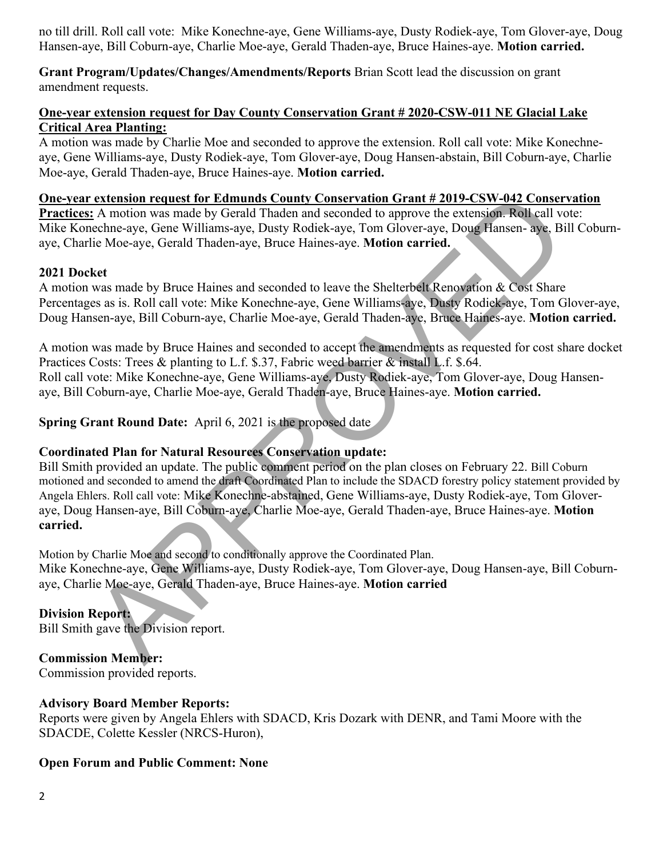no till drill. Roll call vote: Mike Konechne-aye, Gene Williams-aye, Dusty Rodiek-aye, Tom Glover-aye, Doug Hansen-aye, Bill Coburn-aye, Charlie Moe-aye, Gerald Thaden-aye, Bruce Haines-aye. **Motion carried.**

**Grant Program/Updates/Changes/Amendments/Reports** Brian Scott lead the discussion on grant amendment requests.

#### **One-year extension request for Day County Conservation Grant # 2020-CSW-011 NE Glacial Lake Critical Area Planting:**

A motion was made by Charlie Moe and seconded to approve the extension. Roll call vote: Mike Konechneaye, Gene Williams-aye, Dusty Rodiek-aye, Tom Glover-aye, Doug Hansen-abstain, Bill Coburn-aye, Charlie Moe-aye, Gerald Thaden-aye, Bruce Haines-aye. **Motion carried.**

#### **One-year extension request for Edmunds County Conservation Grant # 2019-CSW-042 Conservation**

**Practices:** A motion was made by Gerald Thaden and seconded to approve the extension. Roll call vote: Mike Konechne-aye, Gene Williams-aye, Dusty Rodiek-aye, Tom Glover-aye, Doug Hansen- aye, Bill Coburnaye, Charlie Moe-aye, Gerald Thaden-aye, Bruce Haines-aye. **Motion carried.** 

#### **2021 Docket**

A motion was made by Bruce Haines and seconded to leave the Shelterbelt Renovation & Cost Share Percentages as is. Roll call vote: Mike Konechne-aye, Gene Williams-aye, Dusty Rodiek-aye, Tom Glover-aye, Doug Hansen-aye, Bill Coburn-aye, Charlie Moe-aye, Gerald Thaden-aye, Bruce Haines-aye. **Motion carried.** 

A motion was made by Bruce Haines and seconded to accept the amendments as requested for cost share docket Practices Costs: Trees & planting to L.f. \$.37, Fabric weed barrier & install L.f. \$.64. Roll call vote: Mike Konechne-aye, Gene Williams-aye, Dusty Rodiek-aye, Tom Glover-aye, Doug Hansenaye, Bill Coburn-aye, Charlie Moe-aye, Gerald Thaden-aye, Bruce Haines-aye. **Motion carried.** 

**Spring Grant Round Date:** April 6, 2021 is the proposed date

### **Coordinated Plan for Natural Resources Conservation update:**

**Extension request for Edmunds County Conservation Grant # 2019-CSW-042 Conservation (** $\frac{1}{2}$  **A) motion was made by Grand Thaden and seconded to approve the extension. Relicted volume-<br>cechne-aye, Gran Williams-aye, Dust** Bill Smith provided an update. The public comment period on the plan closes on February 22. Bill Coburn motioned and seconded to amend the draft Coordinated Plan to include the SDACD forestry policy statement provided by Angela Ehlers. Roll call vote: Mike Konechne-abstained, Gene Williams-aye, Dusty Rodiek-aye, Tom Gloveraye, Doug Hansen-aye, Bill Coburn-aye, Charlie Moe-aye, Gerald Thaden-aye, Bruce Haines-aye. **Motion carried.**

Motion by Charlie Moe and second to conditionally approve the Coordinated Plan. Mike Konechne-aye, Gene Williams-aye, Dusty Rodiek-aye, Tom Glover-aye, Doug Hansen-aye, Bill Coburnaye, Charlie Moe-aye, Gerald Thaden-aye, Bruce Haines-aye. **Motion carried**

# **Division Report:**

Bill Smith gave the Division report.

# **Commission Member:**

Commission provided reports.

### **Advisory Board Member Reports:**

Reports were given by Angela Ehlers with SDACD, Kris Dozark with DENR, and Tami Moore with the SDACDE, Colette Kessler (NRCS-Huron),

### **Open Forum and Public Comment: None**